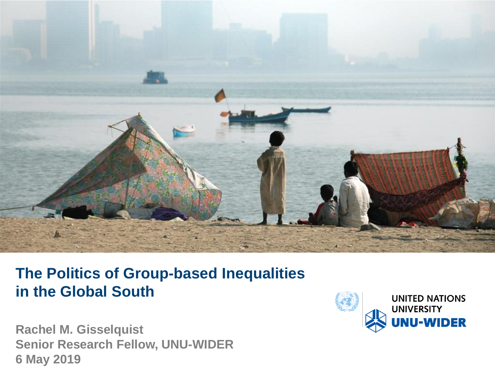

#### **The Politics of Group-based Inequalities in the Global South**

**Rachel M. Gisselquist Senior Research Fellow, UNU-WIDER 6 May 2019**

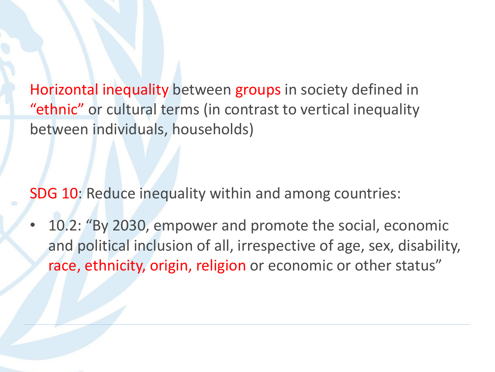Horizontal inequality between groups in society defined in "ethnic" or cultural terms (in contrast to vertical inequality between individuals, households)

SDG 10: Reduce inequality within and among countries:

• 10.2: "By 2030, empower and promote the social, economic and political inclusion of all, irrespective of age, sex, disability, race, ethnicity, origin, religion or economic or other status"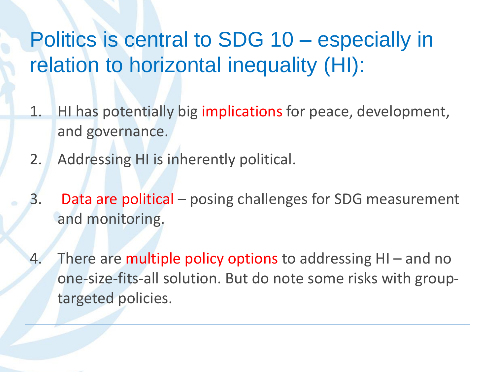## Politics is central to SDG 10 – especially in relation to horizontal inequality (HI):

- 1. HI has potentially big implications for peace, development, and governance.
- 2. Addressing HI is inherently political.
- 3. Data are political posing challenges for SDG measurement and monitoring.
- 4. There are multiple policy options to addressing HI and no one-size-fits-all solution. But do note some risks with grouptargeted policies.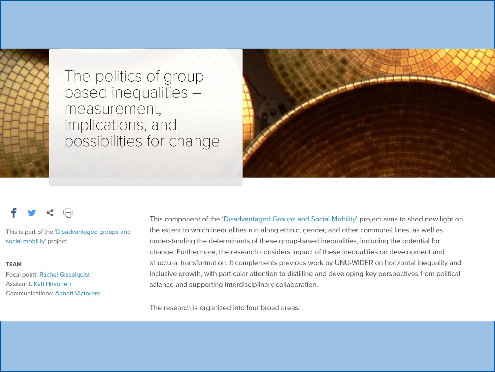

The politics of groupbased inequalities measurement, implications, and<br>possibilities for change



This is part of the 'Disadvantaged groups and social mobility' project.

#### **TEAM**

**Focal point: Rachel Gisselquist** Assistant: Kati Hirvonen **Communications: Annett Victorero**  This component of the 'Disadvantaged Groups and Social Mobility' project aims to shed new light on the extent to which inequalities run along ethnic, gender, and other communal lines, as well as understanding the determinants of these group-based inequalities, including the potential for change. Furthermore, the research considers impact of these inequalities on development and structural transformation. It complements previous work by UNU-WIDER on horizontal inequality and inclusive growth, with particular attention to distilling and developing key perspectives from political science and supporting interdisciplinary collaboration.

The research is organized into four broad areas: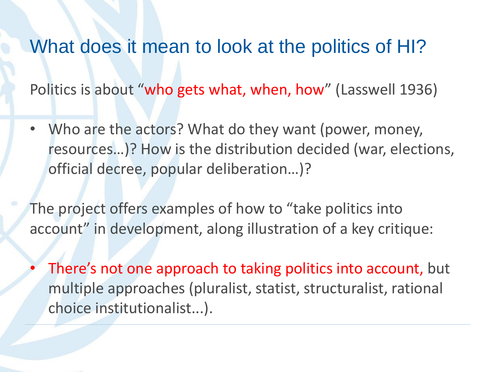#### What does it mean to look at the politics of HI?

Politics is about "who gets what, when, how" (Lasswell 1936)

• Who are the actors? What do they want (power, money, resources…)? How is the distribution decided (war, elections, official decree, popular deliberation…)?

The project offers examples of how to "take politics into account" in development, along illustration of a key critique:

There's not one approach to taking politics into account, but multiple approaches (pluralist, statist, structuralist, rational choice institutionalist...).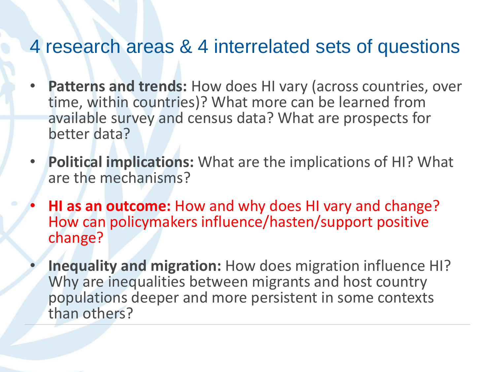#### 4 research areas & 4 interrelated sets of questions

- **Patterns and trends:** How does HI vary (across countries, over time, within countries)? What more can be learned from available survey and census data? What are prospects for better data?
- **Political implications:** What are the implications of HI? What are the mechanisms?
- **HI as an outcome:** How and why does HI vary and change? How can policymakers influence/hasten/support positive change?
- **Inequality and migration:** How does migration influence HI? Why are inequalities between migrants and host country populations deeper and more persistent in some contexts than others?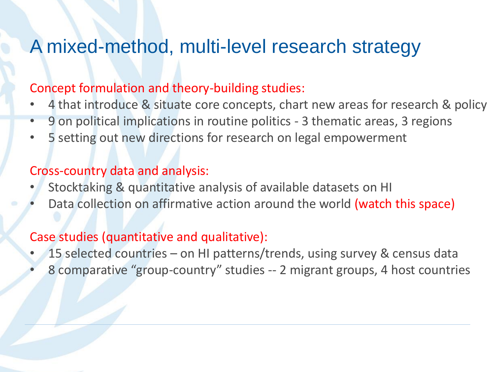#### A mixed-method, multi-level research strategy

#### Concept formulation and theory-building studies:

- 4 that introduce & situate core concepts, chart new areas for research & policy
- 9 on political implications in routine politics 3 thematic areas, 3 regions
- 5 setting out new directions for research on legal empowerment

#### Cross-country data and analysis:

- Stocktaking & quantitative analysis of available datasets on HI
- Data collection on affirmative action around the world (watch this space)

#### Case studies (quantitative and qualitative):

- 15 selected countries on HI patterns/trends, using survey & census data
- 8 comparative "group-country" studies -- 2 migrant groups, 4 host countries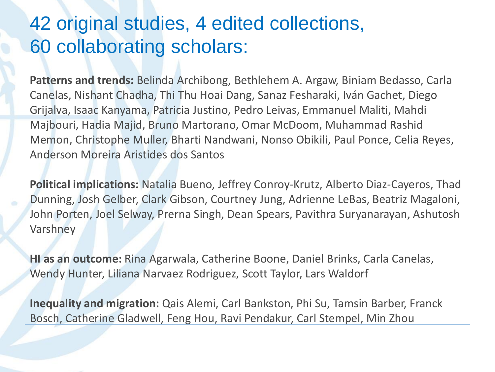#### 42 original studies, 4 edited collections, 60 collaborating scholars:

**Patterns and trends:** Belinda Archibong, Bethlehem A. Argaw, Biniam Bedasso, Carla Canelas, Nishant Chadha, Thi Thu Hoai Dang, Sanaz Fesharaki, Iván Gachet, Diego Grijalva, Isaac Kanyama, Patricia Justino, Pedro Leivas, Emmanuel Maliti, Mahdi Majbouri, Hadia Majid, Bruno Martorano, Omar McDoom, Muhammad Rashid Memon, Christophe Muller, Bharti Nandwani, Nonso Obikili, Paul Ponce, Celia Reyes, Anderson Moreira Aristides dos Santos

**Political implications:** Natalia Bueno, Jeffrey Conroy-Krutz, Alberto Diaz-Cayeros, Thad Dunning, Josh Gelber, Clark Gibson, Courtney Jung, Adrienne LeBas, Beatriz Magaloni, John Porten, Joel Selway, Prerna Singh, Dean Spears, Pavithra Suryanarayan, Ashutosh Varshney

**HI as an outcome:** Rina Agarwala, Catherine Boone, Daniel Brinks, Carla Canelas, Wendy Hunter, Liliana Narvaez Rodriguez, Scott Taylor, Lars Waldorf

**Inequality and migration:** Qais Alemi, Carl Bankston, Phi Su, Tamsin Barber, Franck Bosch, Catherine Gladwell, Feng Hou, Ravi Pendakur, Carl Stempel, Min Zhou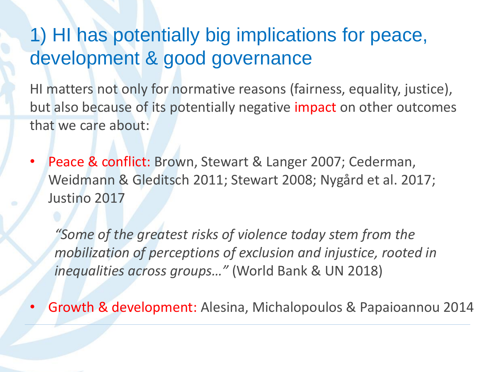## 1) HI has potentially big implications for peace, development & good governance

HI matters not only for normative reasons (fairness, equality, justice), but also because of its potentially negative impact on other outcomes that we care about:

• Peace & conflict: Brown, Stewart & Langer 2007; Cederman, Weidmann & Gleditsch 2011; Stewart 2008; Nygård et al. 2017; Justino 2017

*"Some of the greatest risks of violence today stem from the mobilization of perceptions of exclusion and injustice, rooted in inequalities across groups…"* (World Bank & UN 2018)

• Growth & development: Alesina, Michalopoulos & Papaioannou 2014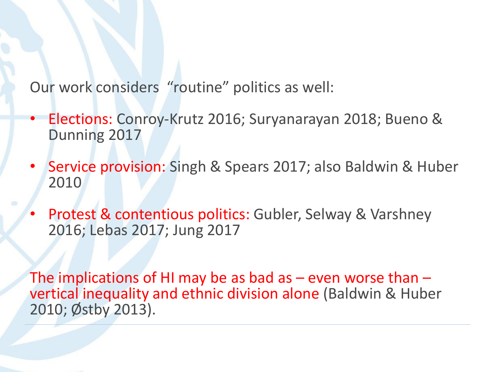Our work considers "routine" politics as well:

- Elections: Conroy-Krutz 2016; Suryanarayan 2018; Bueno & Dunning 2017
- Service provision: Singh & Spears 2017; also Baldwin & Huber 2010
- Protest & contentious politics: Gubler, Selway & Varshney 2016; Lebas 2017; Jung 2017

The implications of HI may be as bad as  $-$  even worse than  $$ vertical inequality and ethnic division alone (Baldwin & Huber 2010; Østby 2013).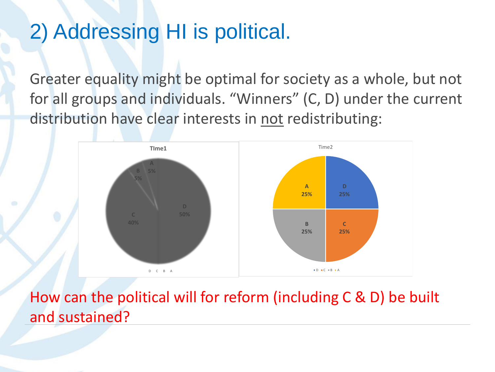## 2) Addressing HI is political.

Greater equality might be optimal for society as a whole, but not for all groups and individuals. "Winners" (C, D) under the current distribution have clear interests in not redistributing:



How can the political will for reform (including C & D) be built and sustained?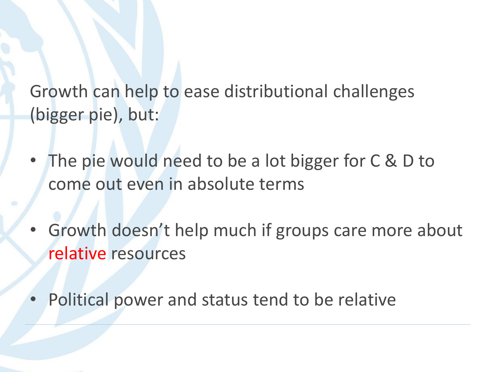Growth can help to ease distributional challenges (bigger pie), but:

- The pie would need to be a lot bigger for C & D to come out even in absolute terms
- Growth doesn't help much if groups care more about relative resources
- Political power and status tend to be relative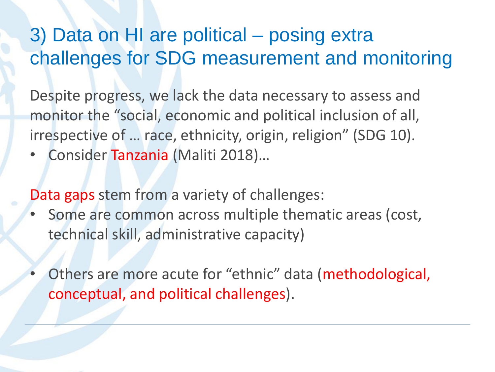## 3) Data on HI are political – posing extra challenges for SDG measurement and monitoring

Despite progress, we lack the data necessary to assess and monitor the "social, economic and political inclusion of all, irrespective of … race, ethnicity, origin, religion" (SDG 10).

• Consider Tanzania (Maliti 2018)…

Data gaps stem from a variety of challenges:

- Some are common across multiple thematic areas (cost, technical skill, administrative capacity)
- Others are more acute for "ethnic" data (methodological, conceptual, and political challenges).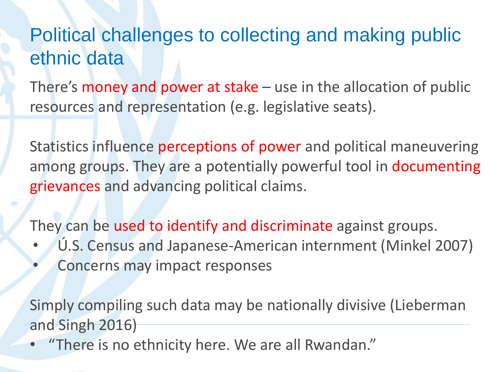## Political challenges to collecting and making public ethnic data

There's money and power at stake  $-$  use in the allocation of public resources and representation (e.g. legislative seats).

Statistics influence perceptions of power and political maneuvering among groups. They are a potentially powerful tool in documenting grievances and advancing political claims.

They can be used to identify and discriminate against groups.

- Ú.S. Census and Japanese-American internment (Minkel 2007)
- Concerns may impact responses

Simply compiling such data may be nationally divisive (Lieberman and Singh 2016)

• "There is no ethnicity here. We are all Rwandan."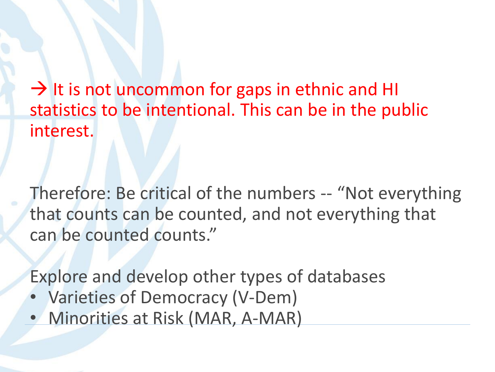$\rightarrow$  It is not uncommon for gaps in ethnic and HI statistics to be intentional. This can be in the public interest.

Therefore: Be critical of the numbers -- "Not everything that counts can be counted, and not everything that can be counted counts."

Explore and develop other types of databases

- Varieties of Democracy (V-Dem)
- Minorities at Risk (MAR, A-MAR)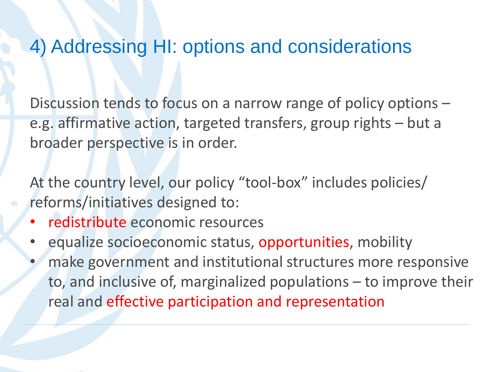#### 4) Addressing HI: options and considerations

Discussion tends to focus on a narrow range of policy options – e.g. affirmative action, targeted transfers, group rights – but a broader perspective is in order.

At the country level, our policy "tool-box" includes policies/ reforms/initiatives designed to:

- redistribute economic resources
- equalize socioeconomic status, opportunities, mobility
- make government and institutional structures more responsive to, and inclusive of, marginalized populations – to improve their real and effective participation and representation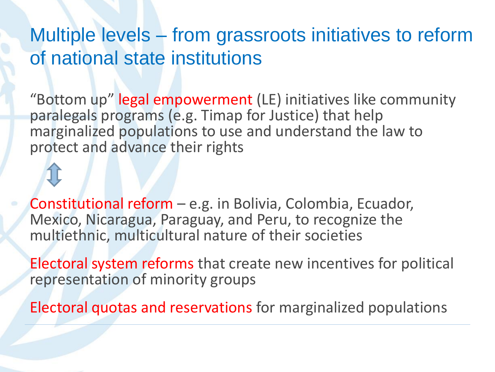#### Multiple levels – from grassroots initiatives to reform of national state institutions

"Bottom up" legal empowerment (LE) initiatives like community paralegals programs (e.g. Timap for Justice) that help marginalized populations to use and understand the law to protect and advance their rights

Constitutional reform – e.g. in Bolivia, Colombia, Ecuador, Mexico, Nicaragua, Paraguay, and Peru, to recognize the multiethnic, multicultural nature of their societies

Electoral system reforms that create new incentives for political representation of minority groups

Electoral quotas and reservations for marginalized populations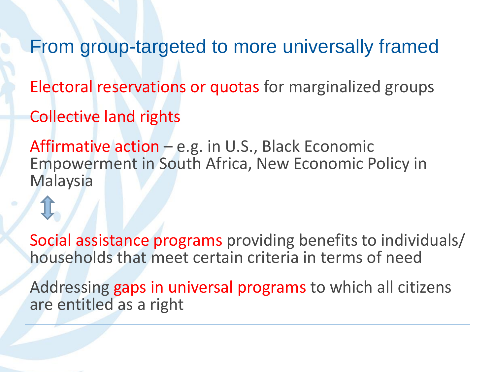From group-targeted to more universally framed

Electoral reservations or quotas for marginalized groups

Collective land rights

Affirmative action – e.g. in U.S., Black Economic Empowerment in South Africa, New Economic Policy in Malaysia

Social assistance programs providing benefits to individuals/ households that meet certain criteria in terms of need

Addressing gaps in universal programs to which all citizens are entitled as a right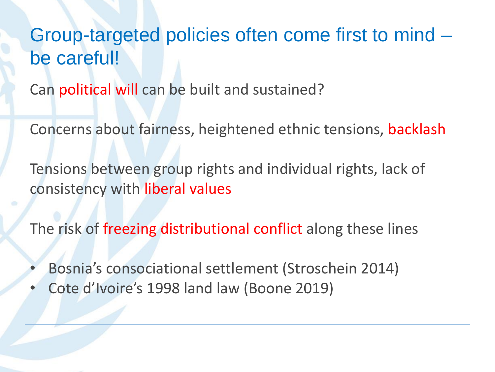#### Group-targeted policies often come first to mind – be careful!

Can political will can be built and sustained?

Concerns about fairness, heightened ethnic tensions, backlash

Tensions between group rights and individual rights, lack of consistency with liberal values

The risk of freezing distributional conflict along these lines

- Bosnia's consociational settlement (Stroschein 2014)
- Cote d'Ivoire's 1998 land law (Boone 2019)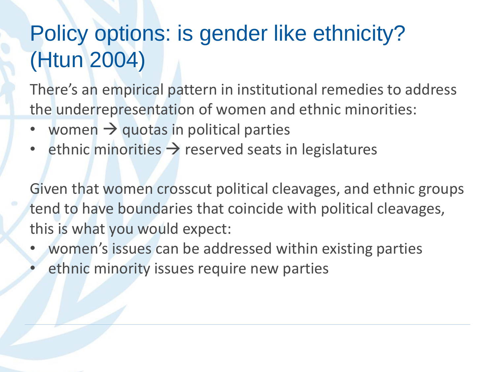# Policy options: is gender like ethnicity? (Htun 2004)

There's an empirical pattern in institutional remedies to address the underrepresentation of women and ethnic minorities:

- women  $\rightarrow$  quotas in political parties
- ethnic minorities  $\rightarrow$  reserved seats in legislatures

Given that women crosscut political cleavages, and ethnic groups tend to have boundaries that coincide with political cleavages, this is what you would expect:

- women's issues can be addressed within existing parties
- ethnic minority issues require new parties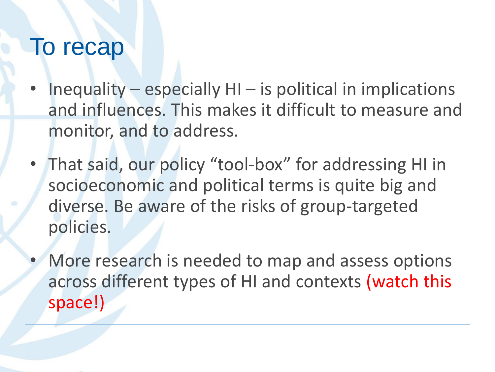## To recap

- Inequality especially  $HI$  is political in implications and influences. This makes it difficult to measure and monitor, and to address.
- That said, our policy "tool-box" for addressing HI in socioeconomic and political terms is quite big and diverse. Be aware of the risks of group-targeted policies.
- More research is needed to map and assess options across different types of HI and contexts (watch this space!)